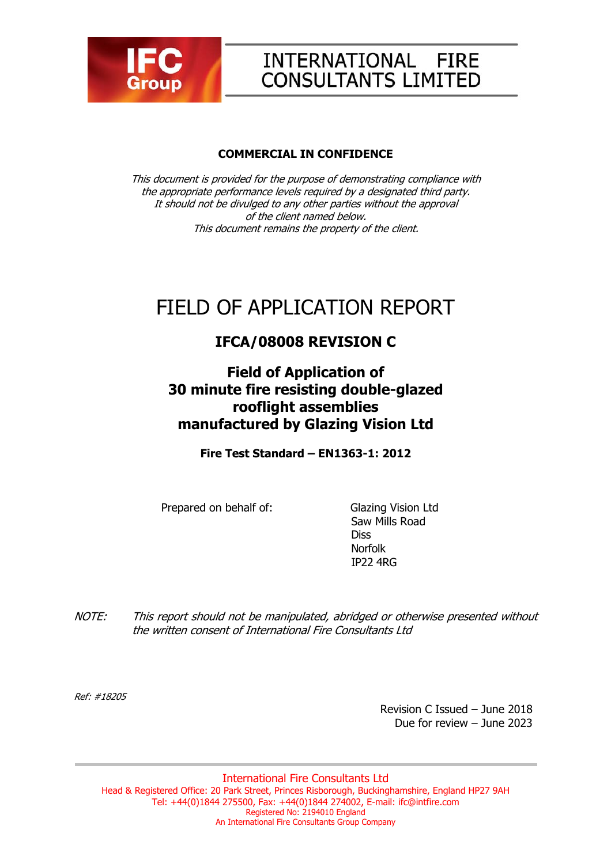

# INTERNATIONAL FIRE **CONSULTANTS LIMITED**

#### **COMMERCIAL IN CONFIDENCE**

This document is provided for the purpose of demonstrating compliance with the appropriate performance levels required by a designated third party. It should not be divulged to any other parties without the approval of the client named below. This document remains the property of the client.

# FIELD OF APPLICATION REPORT

# **IFCA/08008 REVISION C**

**Field of Application of 30 minute fire resisting double-glazed rooflight assemblies manufactured by Glazing Vision Ltd** 

**Fire Test Standard – EN1363-1: 2012** 

Prepared on behalf of: Glazing Vision Ltd

 Saw Mills Road **Diss** Norfolk IP22 4RG

NOTE: This report should not be manipulated, abridged or otherwise presented without the written consent of International Fire Consultants Ltd

Ref: #18205

 Revision C Issued – June 2018 Due for review – June 2023

International Fire Consultants Ltd Head & Registered Office: 20 Park Street, Princes Risborough, Buckinghamshire, England HP27 9AH Tel: +44(0)1844 275500, Fax: +44(0)1844 274002, E-mail: ifc@intfire.com Registered No: 2194010 England An International Fire Consultants Group Company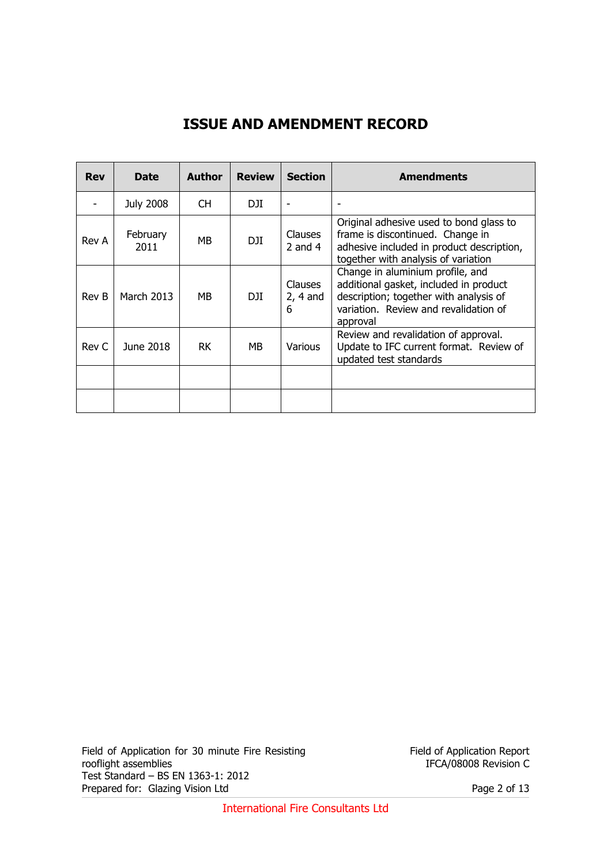# **ISSUE AND AMENDMENT RECORD**

| <b>Rev</b> | <b>Date</b>      | <b>Author</b> | <b>Review</b> | <b>Section</b>                    | <b>Amendments</b>                                                                                                                                                         |
|------------|------------------|---------------|---------------|-----------------------------------|---------------------------------------------------------------------------------------------------------------------------------------------------------------------------|
|            | <b>July 2008</b> | CH.           | DJI.          |                                   |                                                                                                                                                                           |
| Rev A      | February<br>2011 | МB            | DJI           | Clauses<br>2 and $4$              | Original adhesive used to bond glass to<br>frame is discontinued. Change in<br>adhesive included in product description,<br>together with analysis of variation           |
| Rev B      | March 2013       | МB            | DJI           | <b>Clauses</b><br>$2, 4$ and<br>6 | Change in aluminium profile, and<br>additional gasket, included in product<br>description; together with analysis of<br>variation. Review and revalidation of<br>approval |
| Rev C      | June 2018        | <b>RK</b>     | <b>MB</b>     | <b>Various</b>                    | Review and revalidation of approval.<br>Update to IFC current format. Review of<br>updated test standards                                                                 |
|            |                  |               |               |                                   |                                                                                                                                                                           |
|            |                  |               |               |                                   |                                                                                                                                                                           |

Field of Application for 30 minute Fire Resisting rooflight assemblies Test Standard – BS EN 1363-1: 2012 Prepared for: Glazing Vision Ltd Page 2 of 13

Field of Application Report IFCA/08008 Revision C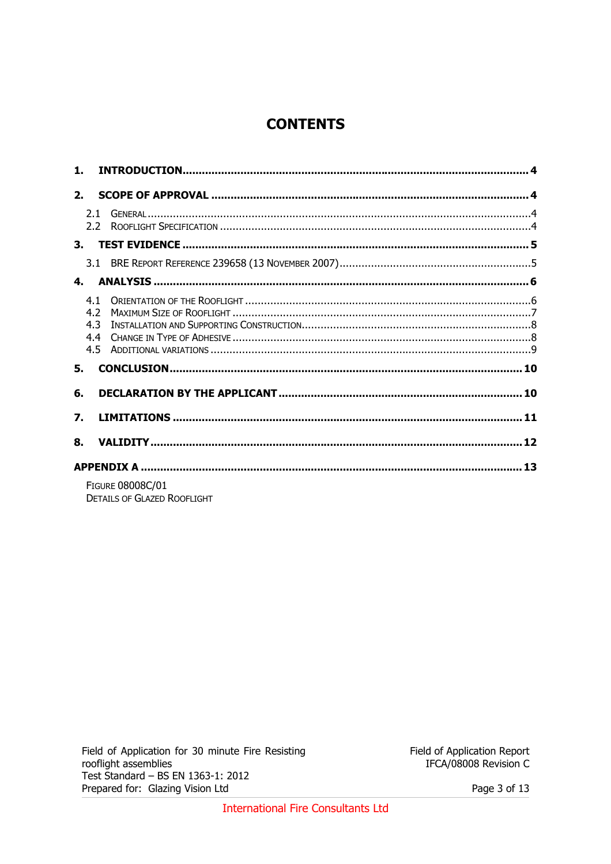# **CONTENTS**

| $\mathbf{1}$ .   |                                 |                                                               |  |
|------------------|---------------------------------|---------------------------------------------------------------|--|
| 2.               |                                 |                                                               |  |
|                  |                                 |                                                               |  |
| 3.               |                                 |                                                               |  |
|                  |                                 |                                                               |  |
| 4.               |                                 |                                                               |  |
|                  | 4.1<br>4.2<br>4.3<br>4.4<br>4.5 |                                                               |  |
| 5.               |                                 |                                                               |  |
| 6.               |                                 |                                                               |  |
| $\overline{7}$ . |                                 |                                                               |  |
| 8.               |                                 |                                                               |  |
|                  |                                 |                                                               |  |
|                  |                                 | <b>FIGURE 08008C/01</b><br><b>DETAILS OF GLAZED ROOFLIGHT</b> |  |

Page 3 of 13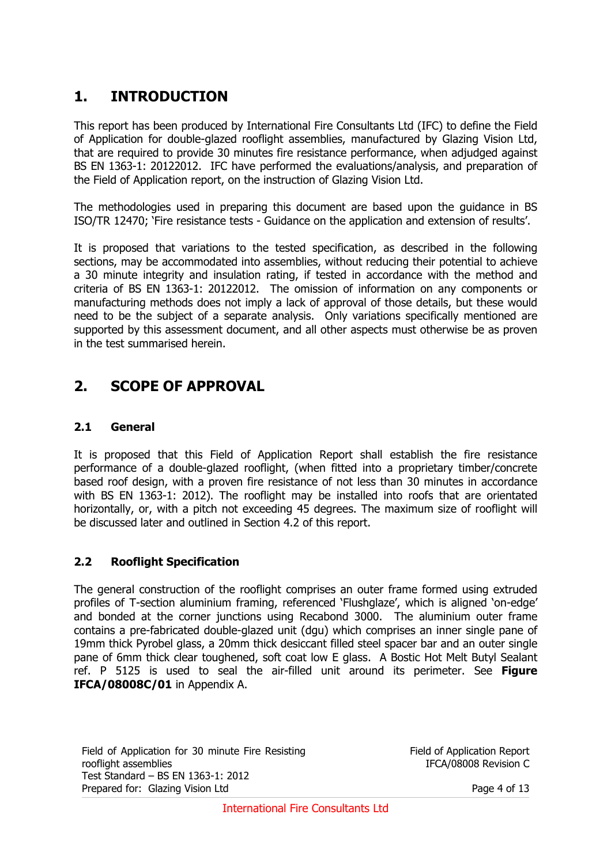# **1. INTRODUCTION**

This report has been produced by International Fire Consultants Ltd (IFC) to define the Field of Application for double-glazed rooflight assemblies, manufactured by Glazing Vision Ltd, that are required to provide 30 minutes fire resistance performance, when adjudged against BS EN 1363-1: 20122012. IFC have performed the evaluations/analysis, and preparation of the Field of Application report, on the instruction of Glazing Vision Ltd.

The methodologies used in preparing this document are based upon the guidance in BS ISO/TR 12470; 'Fire resistance tests - Guidance on the application and extension of results'.

It is proposed that variations to the tested specification, as described in the following sections, may be accommodated into assemblies, without reducing their potential to achieve a 30 minute integrity and insulation rating, if tested in accordance with the method and criteria of BS EN 1363-1: 20122012. The omission of information on any components or manufacturing methods does not imply a lack of approval of those details, but these would need to be the subject of a separate analysis. Only variations specifically mentioned are supported by this assessment document, and all other aspects must otherwise be as proven in the test summarised herein.

### **2. SCOPE OF APPROVAL**

#### **2.1 General**

It is proposed that this Field of Application Report shall establish the fire resistance performance of a double-glazed rooflight, (when fitted into a proprietary timber/concrete based roof design, with a proven fire resistance of not less than 30 minutes in accordance with BS EN 1363-1: 2012). The rooflight may be installed into roofs that are orientated horizontally, or, with a pitch not exceeding 45 degrees. The maximum size of rooflight will be discussed later and outlined in Section 4.2 of this report.

#### **2.2 Rooflight Specification**

The general construction of the rooflight comprises an outer frame formed using extruded profiles of T-section aluminium framing, referenced 'Flushglaze', which is aligned 'on-edge' and bonded at the corner junctions using Recabond 3000. The aluminium outer frame contains a pre-fabricated double-glazed unit (dgu) which comprises an inner single pane of 19mm thick Pyrobel glass, a 20mm thick desiccant filled steel spacer bar and an outer single pane of 6mm thick clear toughened, soft coat low E glass. A Bostic Hot Melt Butyl Sealant ref. P 5125 is used to seal the air-filled unit around its perimeter. See **Figure IFCA/08008C/01** in Appendix A.

Field of Application for 30 minute Fire Resisting rooflight assemblies Test Standard – BS EN 1363-1: 2012 Prepared for: Glazing Vision Ltd Page 4 of 13

Field of Application Report IFCA/08008 Revision C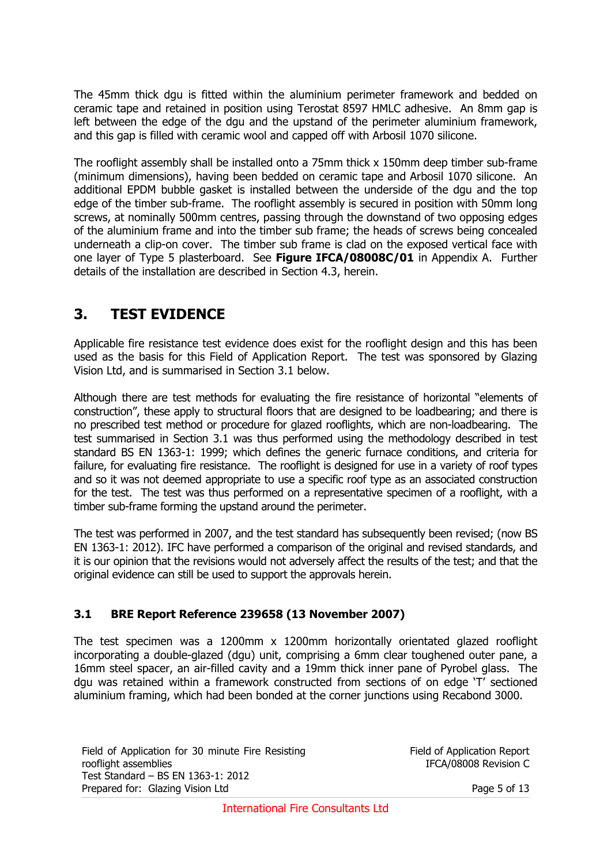The 45mm thick dgu is fitted within the aluminium perimeter framework and bedded on ceramic tape and retained in position using Terostat 8597 HMLC adhesive. An 8mm gap is left between the edge of the dgu and the upstand of the perimeter aluminium framework, and this gap is filled with ceramic wool and capped off with Arbosil 1070 silicone.

The rooflight assembly shall be installed onto a 75mm thick x 150mm deep timber sub-frame (minimum dimensions), having been bedded on ceramic tape and Arbosil 1070 silicone. An additional EPDM bubble gasket is installed between the underside of the dgu and the top edge of the timber sub-frame. The rooflight assembly is secured in position with 50mm long screws, at nominally 500mm centres, passing through the downstand of two opposing edges of the aluminium frame and into the timber sub frame; the heads of screws being concealed underneath a clip-on cover. The timber sub frame is clad on the exposed vertical face with one layer of Type 5 plasterboard. See **Figure IFCA/08008C/01** in Appendix A. Further details of the installation are described in Section 4.3, herein.

## **3. TEST EVIDENCE**

Applicable fire resistance test evidence does exist for the rooflight design and this has been used as the basis for this Field of Application Report. The test was sponsored by Glazing Vision Ltd, and is summarised in Section 3.1 below.

Although there are test methods for evaluating the fire resistance of horizontal "elements of construction", these apply to structural floors that are designed to be loadbearing; and there is no prescribed test method or procedure for glazed rooflights, which are non-loadbearing. The test summarised in Section 3.1 was thus performed using the methodology described in test standard BS EN 1363-1: 1999; which defines the generic furnace conditions, and criteria for failure, for evaluating fire resistance. The rooflight is designed for use in a variety of roof types and so it was not deemed appropriate to use a specific roof type as an associated construction for the test. The test was thus performed on a representative specimen of a rooflight, with a timber sub-frame forming the upstand around the perimeter.

The test was performed in 2007, and the test standard has subsequently been revised; (now BS EN 1363-1: 2012). IFC have performed a comparison of the original and revised standards, and it is our opinion that the revisions would not adversely affect the results of the test; and that the original evidence can still be used to support the approvals herein.

#### **3.1 BRE Report Reference 239658 (13 November 2007)**

The test specimen was a 1200mm x 1200mm horizontally orientated glazed rooflight incorporating a double-glazed (dgu) unit, comprising a 6mm clear toughened outer pane, a 16mm steel spacer, an air-filled cavity and a 19mm thick inner pane of Pyrobel glass. The dgu was retained within a framework constructed from sections of on edge 'T' sectioned aluminium framing, which had been bonded at the corner junctions using Recabond 3000.

Field of Application for 30 minute Fire Resisting rooflight assemblies Test Standard – BS EN 1363-1: 2012 Prepared for: Glazing Vision Ltd Page 5 of 13

Field of Application Report IFCA/08008 Revision C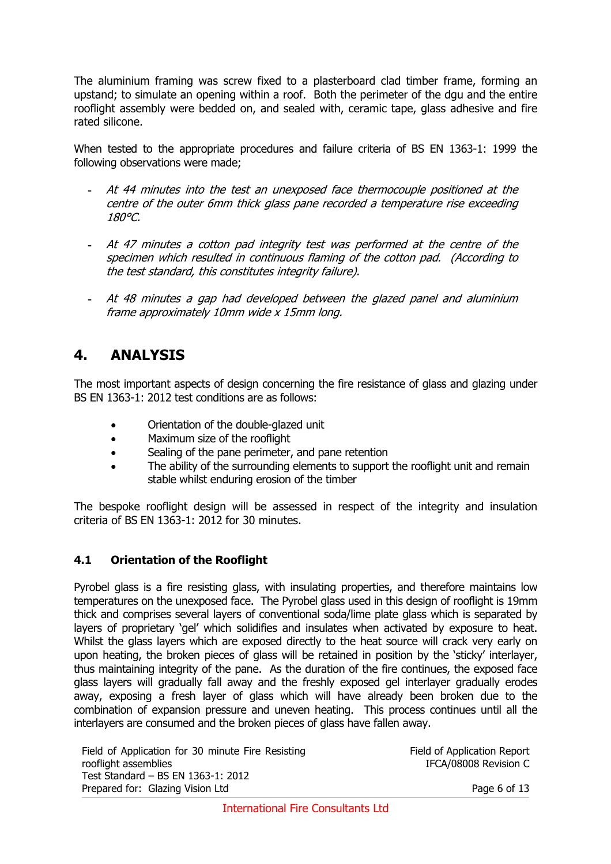The aluminium framing was screw fixed to a plasterboard clad timber frame, forming an upstand; to simulate an opening within a roof. Both the perimeter of the dgu and the entire rooflight assembly were bedded on, and sealed with, ceramic tape, glass adhesive and fire rated silicone.

When tested to the appropriate procedures and failure criteria of BS EN 1363-1: 1999 the following observations were made;

- **-** At 44 minutes into the test an unexposed face thermocouple positioned at the centre of the outer 6mm thick glass pane recorded a temperature rise exceeding 180°C.
- **-** At 47 minutes a cotton pad integrity test was performed at the centre of the specimen which resulted in continuous flaming of the cotton pad. (According to the test standard, this constitutes integrity failure).
- **-** At 48 minutes a gap had developed between the glazed panel and aluminium frame approximately 10mm wide x 15mm long.

### **4. ANALYSIS**

The most important aspects of design concerning the fire resistance of glass and glazing under BS EN 1363-1: 2012 test conditions are as follows:

- Orientation of the double-glazed unit
- Maximum size of the rooflight
- Sealing of the pane perimeter, and pane retention
- The ability of the surrounding elements to support the rooflight unit and remain stable whilst enduring erosion of the timber

The bespoke rooflight design will be assessed in respect of the integrity and insulation criteria of BS EN 1363-1: 2012 for 30 minutes.

#### **4.1 Orientation of the Rooflight**

Pyrobel glass is a fire resisting glass, with insulating properties, and therefore maintains low temperatures on the unexposed face. The Pyrobel glass used in this design of rooflight is 19mm thick and comprises several layers of conventional soda/lime plate glass which is separated by layers of proprietary 'gel' which solidifies and insulates when activated by exposure to heat. Whilst the glass layers which are exposed directly to the heat source will crack very early on upon heating, the broken pieces of glass will be retained in position by the 'sticky' interlayer, thus maintaining integrity of the pane. As the duration of the fire continues, the exposed face glass layers will gradually fall away and the freshly exposed gel interlayer gradually erodes away, exposing a fresh layer of glass which will have already been broken due to the combination of expansion pressure and uneven heating. This process continues until all the interlayers are consumed and the broken pieces of glass have fallen away.

Field of Application for 30 minute Fire Resisting rooflight assemblies Test Standard – BS EN 1363-1: 2012 Prepared for: Glazing Vision Ltd Page 6 of 13

Field of Application Report IFCA/08008 Revision C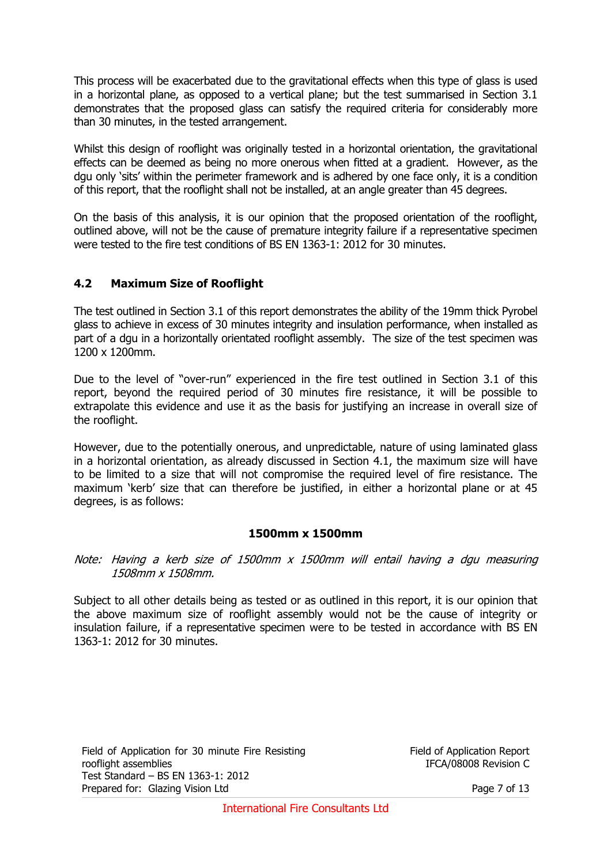This process will be exacerbated due to the gravitational effects when this type of glass is used in a horizontal plane, as opposed to a vertical plane; but the test summarised in Section 3.1 demonstrates that the proposed glass can satisfy the required criteria for considerably more than 30 minutes, in the tested arrangement.

Whilst this design of rooflight was originally tested in a horizontal orientation, the gravitational effects can be deemed as being no more onerous when fitted at a gradient. However, as the dgu only 'sits' within the perimeter framework and is adhered by one face only, it is a condition of this report, that the rooflight shall not be installed, at an angle greater than 45 degrees.

On the basis of this analysis, it is our opinion that the proposed orientation of the rooflight, outlined above, will not be the cause of premature integrity failure if a representative specimen were tested to the fire test conditions of BS EN 1363-1: 2012 for 30 minutes.

#### **4.2 Maximum Size of Rooflight**

The test outlined in Section 3.1 of this report demonstrates the ability of the 19mm thick Pyrobel glass to achieve in excess of 30 minutes integrity and insulation performance, when installed as part of a dgu in a horizontally orientated rooflight assembly. The size of the test specimen was 1200 x 1200mm.

Due to the level of "over-run" experienced in the fire test outlined in Section 3.1 of this report, beyond the required period of 30 minutes fire resistance, it will be possible to extrapolate this evidence and use it as the basis for justifying an increase in overall size of the rooflight.

However, due to the potentially onerous, and unpredictable, nature of using laminated glass in a horizontal orientation, as already discussed in Section 4.1, the maximum size will have to be limited to a size that will not compromise the required level of fire resistance. The maximum 'kerb' size that can therefore be justified, in either a horizontal plane or at 45 degrees, is as follows:

#### **1500mm x 1500mm**

Note: Having a kerb size of 1500mm x 1500mm will entail having a dgu measuring 1508mm x 1508mm.

Subject to all other details being as tested or as outlined in this report, it is our opinion that the above maximum size of rooflight assembly would not be the cause of integrity or insulation failure, if a representative specimen were to be tested in accordance with BS EN 1363-1: 2012 for 30 minutes.

Field of Application for 30 minute Fire Resisting rooflight assemblies Test Standard – BS EN 1363-1: 2012 Prepared for: Glazing Vision Ltd Page 7 of 13

Field of Application Report IFCA/08008 Revision C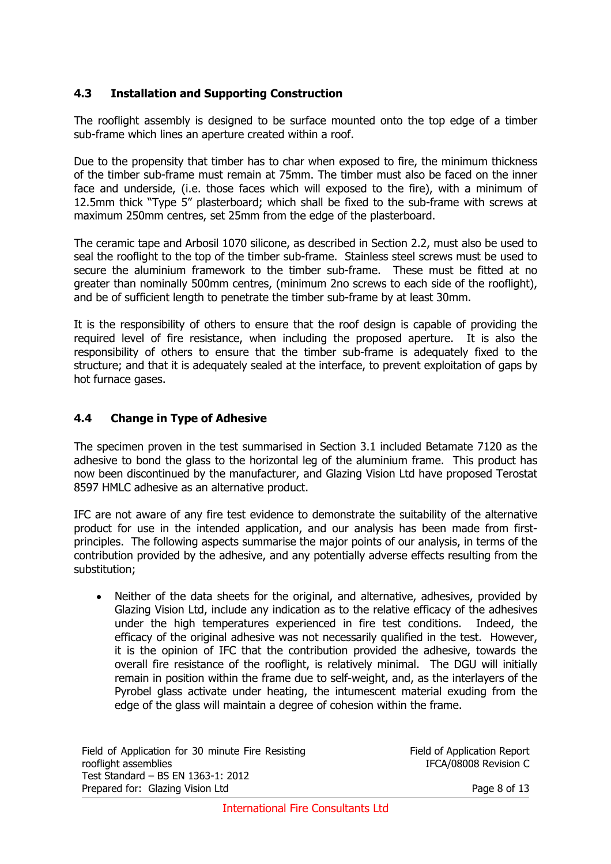#### **4.3 Installation and Supporting Construction**

The rooflight assembly is designed to be surface mounted onto the top edge of a timber sub-frame which lines an aperture created within a roof.

Due to the propensity that timber has to char when exposed to fire, the minimum thickness of the timber sub-frame must remain at 75mm. The timber must also be faced on the inner face and underside, (i.e. those faces which will exposed to the fire), with a minimum of 12.5mm thick "Type 5" plasterboard; which shall be fixed to the sub-frame with screws at maximum 250mm centres, set 25mm from the edge of the plasterboard.

The ceramic tape and Arbosil 1070 silicone, as described in Section 2.2, must also be used to seal the rooflight to the top of the timber sub-frame. Stainless steel screws must be used to secure the aluminium framework to the timber sub-frame. These must be fitted at no greater than nominally 500mm centres, (minimum 2no screws to each side of the rooflight), and be of sufficient length to penetrate the timber sub-frame by at least 30mm.

It is the responsibility of others to ensure that the roof design is capable of providing the required level of fire resistance, when including the proposed aperture. It is also the responsibility of others to ensure that the timber sub-frame is adequately fixed to the structure; and that it is adequately sealed at the interface, to prevent exploitation of gaps by hot furnace gases.

#### **4.4 Change in Type of Adhesive**

The specimen proven in the test summarised in Section 3.1 included Betamate 7120 as the adhesive to bond the glass to the horizontal leg of the aluminium frame. This product has now been discontinued by the manufacturer, and Glazing Vision Ltd have proposed Terostat 8597 HMLC adhesive as an alternative product.

IFC are not aware of any fire test evidence to demonstrate the suitability of the alternative product for use in the intended application, and our analysis has been made from firstprinciples. The following aspects summarise the major points of our analysis, in terms of the contribution provided by the adhesive, and any potentially adverse effects resulting from the substitution;

 Neither of the data sheets for the original, and alternative, adhesives, provided by Glazing Vision Ltd, include any indication as to the relative efficacy of the adhesives under the high temperatures experienced in fire test conditions. Indeed, the efficacy of the original adhesive was not necessarily qualified in the test. However, it is the opinion of IFC that the contribution provided the adhesive, towards the overall fire resistance of the rooflight, is relatively minimal. The DGU will initially remain in position within the frame due to self-weight, and, as the interlayers of the Pyrobel glass activate under heating, the intumescent material exuding from the edge of the glass will maintain a degree of cohesion within the frame.

Field of Application for 30 minute Fire Resisting rooflight assemblies Test Standard – BS EN 1363-1: 2012 Prepared for: Glazing Vision Ltd Page 8 of 13

Field of Application Report IFCA/08008 Revision C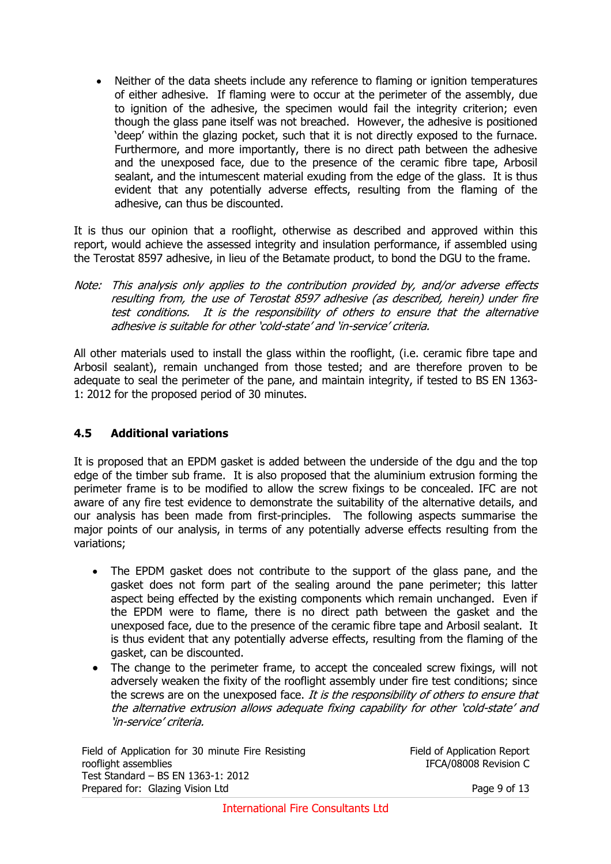Neither of the data sheets include any reference to flaming or ignition temperatures of either adhesive. If flaming were to occur at the perimeter of the assembly, due to ignition of the adhesive, the specimen would fail the integrity criterion; even though the glass pane itself was not breached. However, the adhesive is positioned 'deep' within the glazing pocket, such that it is not directly exposed to the furnace. Furthermore, and more importantly, there is no direct path between the adhesive and the unexposed face, due to the presence of the ceramic fibre tape, Arbosil sealant, and the intumescent material exuding from the edge of the glass. It is thus evident that any potentially adverse effects, resulting from the flaming of the adhesive, can thus be discounted.

It is thus our opinion that a rooflight, otherwise as described and approved within this report, would achieve the assessed integrity and insulation performance, if assembled using the Terostat 8597 adhesive, in lieu of the Betamate product, to bond the DGU to the frame.

Note: This analysis only applies to the contribution provided by, and/or adverse effects resulting from, the use of Terostat 8597 adhesive (as described, herein) under fire test conditions. It is the responsibility of others to ensure that the alternative adhesive is suitable for other 'cold-state' and 'in-service' criteria.

All other materials used to install the glass within the rooflight, (i.e. ceramic fibre tape and Arbosil sealant), remain unchanged from those tested; and are therefore proven to be adequate to seal the perimeter of the pane, and maintain integrity, if tested to BS EN 1363- 1: 2012 for the proposed period of 30 minutes.

#### **4.5 Additional variations**

It is proposed that an EPDM gasket is added between the underside of the dgu and the top edge of the timber sub frame. It is also proposed that the aluminium extrusion forming the perimeter frame is to be modified to allow the screw fixings to be concealed. IFC are not aware of any fire test evidence to demonstrate the suitability of the alternative details, and our analysis has been made from first-principles. The following aspects summarise the major points of our analysis, in terms of any potentially adverse effects resulting from the variations;

- The EPDM gasket does not contribute to the support of the glass pane, and the gasket does not form part of the sealing around the pane perimeter; this latter aspect being effected by the existing components which remain unchanged. Even if the EPDM were to flame, there is no direct path between the gasket and the unexposed face, due to the presence of the ceramic fibre tape and Arbosil sealant. It is thus evident that any potentially adverse effects, resulting from the flaming of the gasket, can be discounted.
- The change to the perimeter frame, to accept the concealed screw fixings, will not adversely weaken the fixity of the rooflight assembly under fire test conditions; since the screws are on the unexposed face. It is the responsibility of others to ensure that the alternative extrusion allows adequate fixing capability for other 'cold-state' and 'in-service' criteria.

Field of Application for 30 minute Fire Resisting rooflight assemblies Test Standard – BS EN 1363-1: 2012 Prepared for: Glazing Vision Ltd Page 9 of 13

Field of Application Report IFCA/08008 Revision C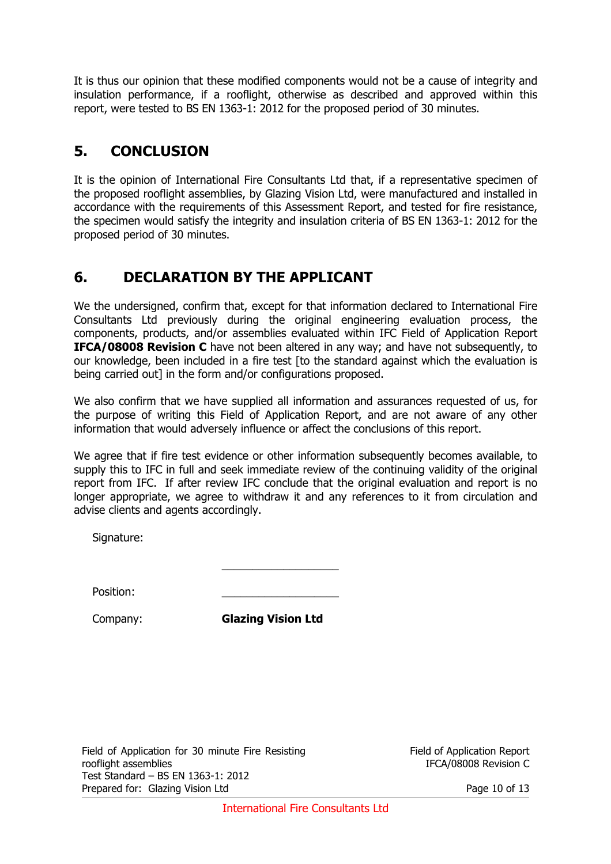It is thus our opinion that these modified components would not be a cause of integrity and insulation performance, if a rooflight, otherwise as described and approved within this report, were tested to BS EN 1363-1: 2012 for the proposed period of 30 minutes.

### **5. CONCLUSION**

It is the opinion of International Fire Consultants Ltd that, if a representative specimen of the proposed rooflight assemblies, by Glazing Vision Ltd, were manufactured and installed in accordance with the requirements of this Assessment Report, and tested for fire resistance, the specimen would satisfy the integrity and insulation criteria of BS EN 1363-1: 2012 for the proposed period of 30 minutes.

## **6. DECLARATION BY THE APPLICANT**

 $\mathcal{L}_\text{max}$  and  $\mathcal{L}_\text{max}$  are the set of  $\mathcal{L}_\text{max}$  . The set of  $\mathcal{L}_\text{max}$ 

We the undersigned, confirm that, except for that information declared to International Fire Consultants Ltd previously during the original engineering evaluation process, the components, products, and/or assemblies evaluated within IFC Field of Application Report **IFCA/08008 Revision C** have not been altered in any way; and have not subsequently, to our knowledge, been included in a fire test [to the standard against which the evaluation is being carried out] in the form and/or configurations proposed.

We also confirm that we have supplied all information and assurances requested of us, for the purpose of writing this Field of Application Report, and are not aware of any other information that would adversely influence or affect the conclusions of this report.

We agree that if fire test evidence or other information subsequently becomes available, to supply this to IFC in full and seek immediate review of the continuing validity of the original report from IFC. If after review IFC conclude that the original evaluation and report is no longer appropriate, we agree to withdraw it and any references to it from circulation and advise clients and agents accordingly.

Signature:

Position:

Company: **Glazing Vision Ltd**

Field of Application for 30 minute Fire Resisting rooflight assemblies Test Standard – BS EN 1363-1: 2012 Prepared for: Glazing Vision Ltd Page 10 of 13

Field of Application Report IFCA/08008 Revision C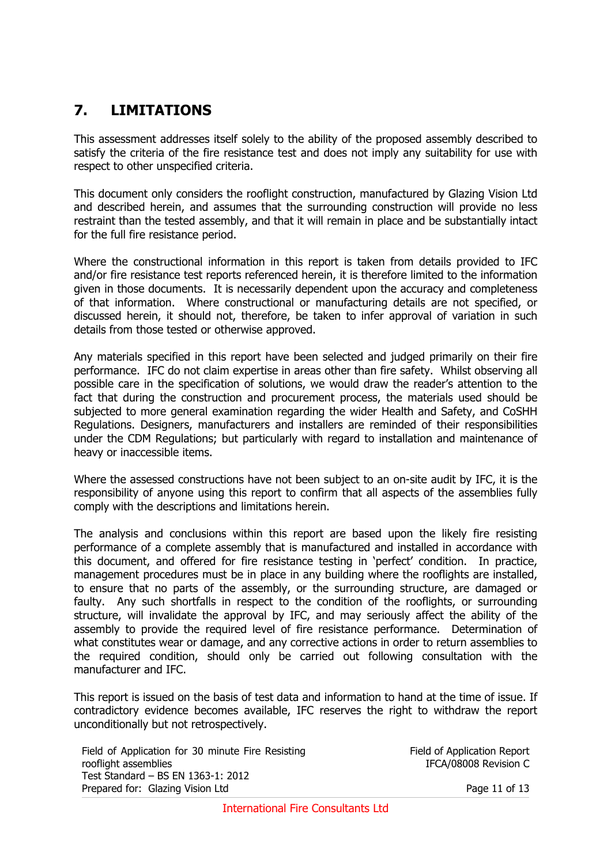# **7. LIMITATIONS**

This assessment addresses itself solely to the ability of the proposed assembly described to satisfy the criteria of the fire resistance test and does not imply any suitability for use with respect to other unspecified criteria.

This document only considers the rooflight construction, manufactured by Glazing Vision Ltd and described herein, and assumes that the surrounding construction will provide no less restraint than the tested assembly, and that it will remain in place and be substantially intact for the full fire resistance period.

Where the constructional information in this report is taken from details provided to IFC and/or fire resistance test reports referenced herein, it is therefore limited to the information given in those documents. It is necessarily dependent upon the accuracy and completeness of that information. Where constructional or manufacturing details are not specified, or discussed herein, it should not, therefore, be taken to infer approval of variation in such details from those tested or otherwise approved.

Any materials specified in this report have been selected and judged primarily on their fire performance. IFC do not claim expertise in areas other than fire safety. Whilst observing all possible care in the specification of solutions, we would draw the reader's attention to the fact that during the construction and procurement process, the materials used should be subjected to more general examination regarding the wider Health and Safety, and CoSHH Regulations. Designers, manufacturers and installers are reminded of their responsibilities under the CDM Regulations; but particularly with regard to installation and maintenance of heavy or inaccessible items.

Where the assessed constructions have not been subject to an on-site audit by IFC, it is the responsibility of anyone using this report to confirm that all aspects of the assemblies fully comply with the descriptions and limitations herein.

The analysis and conclusions within this report are based upon the likely fire resisting performance of a complete assembly that is manufactured and installed in accordance with this document, and offered for fire resistance testing in 'perfect' condition. In practice, management procedures must be in place in any building where the rooflights are installed, to ensure that no parts of the assembly, or the surrounding structure, are damaged or faulty. Any such shortfalls in respect to the condition of the rooflights, or surrounding structure, will invalidate the approval by IFC, and may seriously affect the ability of the assembly to provide the required level of fire resistance performance. Determination of what constitutes wear or damage, and any corrective actions in order to return assemblies to the required condition, should only be carried out following consultation with the manufacturer and IFC.

This report is issued on the basis of test data and information to hand at the time of issue. If contradictory evidence becomes available, IFC reserves the right to withdraw the report unconditionally but not retrospectively.

Field of Application for 30 minute Fire Resisting rooflight assemblies Test Standard – BS EN 1363-1: 2012 Prepared for: Glazing Vision Ltd Page 11 of 13

Field of Application Report IFCA/08008 Revision C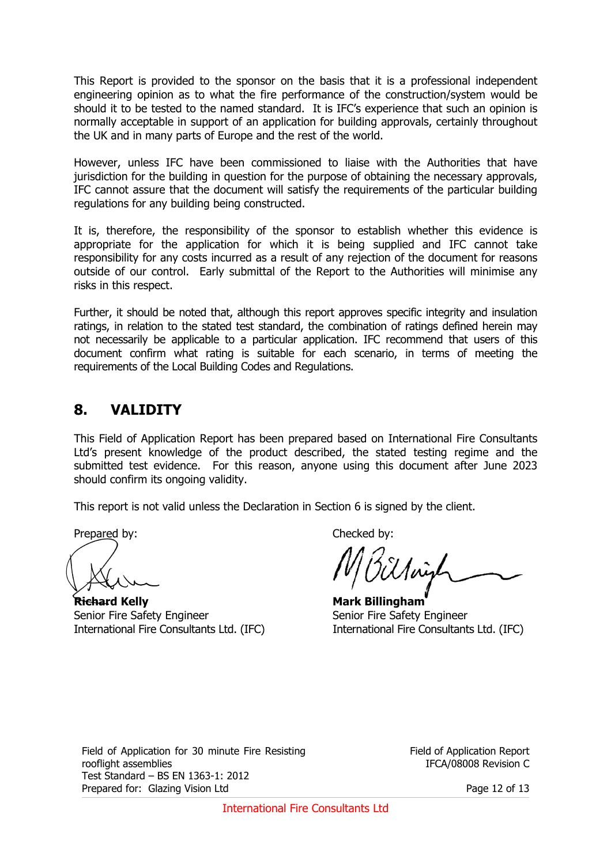This Report is provided to the sponsor on the basis that it is a professional independent engineering opinion as to what the fire performance of the construction/system would be should it to be tested to the named standard. It is IFC's experience that such an opinion is normally acceptable in support of an application for building approvals, certainly throughout the UK and in many parts of Europe and the rest of the world.

However, unless IFC have been commissioned to liaise with the Authorities that have jurisdiction for the building in question for the purpose of obtaining the necessary approvals, IFC cannot assure that the document will satisfy the requirements of the particular building regulations for any building being constructed.

It is, therefore, the responsibility of the sponsor to establish whether this evidence is appropriate for the application for which it is being supplied and IFC cannot take responsibility for any costs incurred as a result of any rejection of the document for reasons outside of our control. Early submittal of the Report to the Authorities will minimise any risks in this respect.

Further, it should be noted that, although this report approves specific integrity and insulation ratings, in relation to the stated test standard, the combination of ratings defined herein may not necessarily be applicable to a particular application. IFC recommend that users of this document confirm what rating is suitable for each scenario, in terms of meeting the requirements of the Local Building Codes and Regulations.

### **8. VALIDITY**

This Field of Application Report has been prepared based on International Fire Consultants Ltd's present knowledge of the product described, the stated testing regime and the submitted test evidence. For this reason, anyone using this document after June 2023 should confirm its ongoing validity.

This report is not valid unless the Declaration in Section 6 is signed by the client.

Prepared by: Checked by:

**Richard Kelly Mark Billingham** Senior Fire Safety Engineer Senior Fire Safety Engineer International Fire Consultants Ltd. (IFC) International Fire Consultants Ltd. (IFC)

Field of Application for 30 minute Fire Resisting rooflight assemblies Test Standard – BS EN 1363-1: 2012 Prepared for: Glazing Vision Ltd Page 12 of 13

Field of Application Report IFCA/08008 Revision C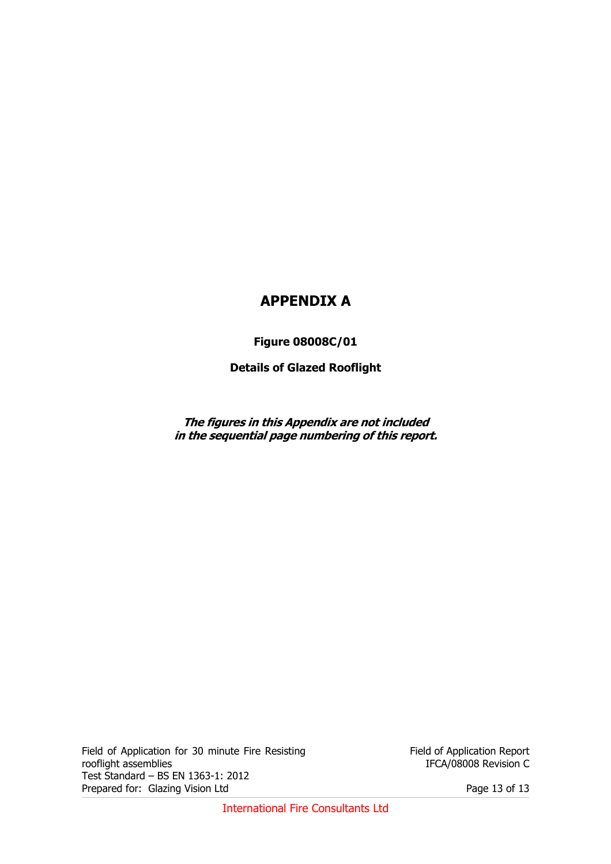### **APPENDIX A**

**Figure 08008C/01** 

**Details of Glazed Rooflight** 

**The figures in this Appendix are not included in the sequential page numbering of this report.** 

Field of Application for 30 minute Fire Resisting rooflight assemblies Test Standard – BS EN 1363-1: 2012 Prepared for: Glazing Vision Ltd Prepared for: Glazing Vision Ltd

Field of Application Report IFCA/08008 Revision C